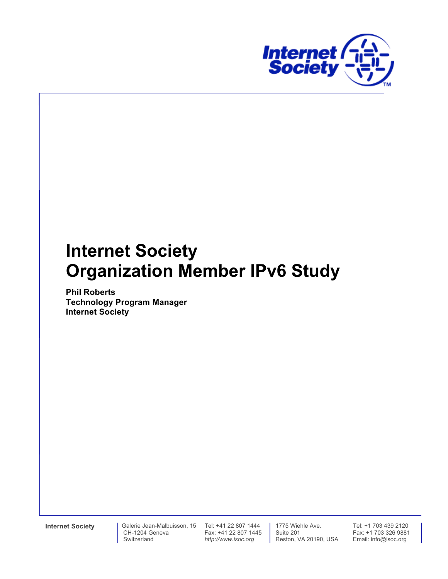

# **Internet Society Organization Member IPv6 Study**

**Phil Roberts Technology Program Manager Internet Society**

**Internet Society** Galerie Jean-Malbuisson, 15 Tel: +41 22 807 1444 CH-1204 Geneva Switzerland

Fax: +41 22 807 1445 *http://www.isoc.org*

 1775 Wiehle Ave. Suite 201 Reston, VA 20190, USA Tel: +1 703 439 2120 Fax: +1 703 326 9881 Email: info@isoc.org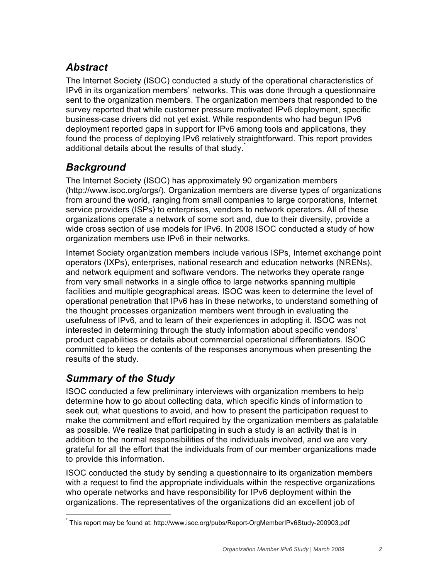# *Abstract*

The Internet Society (ISOC) conducted a study of the operational characteristics of IPv6 in its organization members' networks. This was done through a questionnaire sent to the organization members. The organization members that responded to the survey reported that while customer pressure motivated IPv6 deployment, specific business-case drivers did not yet exist. While respondents who had begun IPv6 deployment reported gaps in support for IPv6 among tools and applications, they found the process of deploying IPv6 relatively straightforward. This report provides additional details about the results of that study. $\dot{\ }$ 

# *Background*

The Internet Society (ISOC) has approximately 90 organization members (http://www.isoc.org/orgs/). Organization members are diverse types of organizations from around the world, ranging from small companies to large corporations, Internet service providers (ISPs) to enterprises, vendors to network operators. All of these organizations operate a network of some sort and, due to their diversity, provide a wide cross section of use models for IPv6. In 2008 ISOC conducted a study of how organization members use IPv6 in their networks.

Internet Society organization members include various ISPs, Internet exchange point operators (IXPs), enterprises, national research and education networks (NRENs), and network equipment and software vendors. The networks they operate range from very small networks in a single office to large networks spanning multiple facilities and multiple geographical areas. ISOC was keen to determine the level of operational penetration that IPv6 has in these networks, to understand something of the thought processes organization members went through in evaluating the usefulness of IPv6, and to learn of their experiences in adopting it. ISOC was not interested in determining through the study information about specific vendors' product capabilities or details about commercial operational differentiators. ISOC committed to keep the contents of the responses anonymous when presenting the results of the study.

### *Summary of the Study*

ISOC conducted a few preliminary interviews with organization members to help determine how to go about collecting data, which specific kinds of information to seek out, what questions to avoid, and how to present the participation request to make the commitment and effort required by the organization members as palatable as possible. We realize that participating in such a study is an activity that is in addition to the normal responsibilities of the individuals involved, and we are very grateful for all the effort that the individuals from of our member organizations made to provide this information.

ISOC conducted the study by sending a questionnaire to its organization members with a request to find the appropriate individuals within the respective organizations who operate networks and have responsibility for IPv6 deployment within the organizations. The representatives of the organizations did an excellent job of

\* This report may be found at: http://www.isoc.org/pubs/Report-OrgMemberIPv6Study-200903.pdf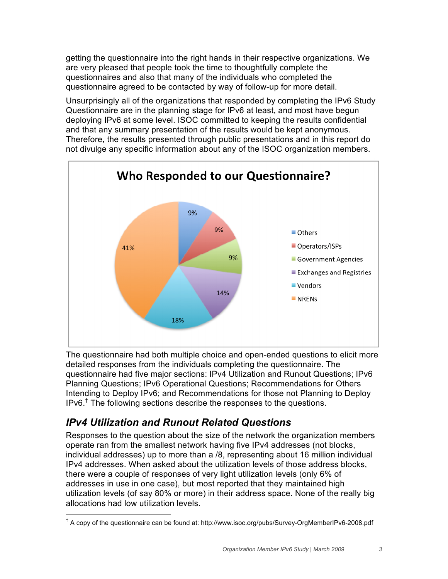getting the questionnaire into the right hands in their respective organizations. We are very pleased that people took the time to thoughtfully complete the questionnaires and also that many of the individuals who completed the questionnaire agreed to be contacted by way of follow-up for more detail.

Unsurprisingly all of the organizations that responded by completing the IPv6 Study Questionnaire are in the planning stage for IPv6 at least, and most have begun deploying IPv6 at some level. ISOC committed to keeping the results confidential and that any summary presentation of the results would be kept anonymous. Therefore, the results presented through public presentations and in this report do not divulge any specific information about any of the ISOC organization members.



The questionnaire had both multiple choice and open-ended questions to elicit more detailed responses from the individuals completing the questionnaire. The questionnaire had five major sections: IPv4 Utilization and Runout Questions; IPv6 Planning Questions; IPv6 Operational Questions; Recommendations for Others Intending to Deploy IPv6; and Recommendations for those not Planning to Deploy IPv6.<sup>†</sup> The following sections describe the responses to the questions.

### *IPv4 Utilization and Runout Related Questions*

Responses to the question about the size of the network the organization members operate ran from the smallest network having five IPv4 addresses (not blocks, individual addresses) up to more than a /8, representing about 16 million individual IPv4 addresses. When asked about the utilization levels of those address blocks, there were a couple of responses of very light utilization levels (only 6% of addresses in use in one case), but most reported that they maintained high utilization levels (of say 80% or more) in their address space. None of the really big allocations had low utilization levels.

† <sup>†</sup> A copy of the questionnaire can be found at: http://www.isoc.org/pubs/Survey-OrgMemberIPv6-2008.pdf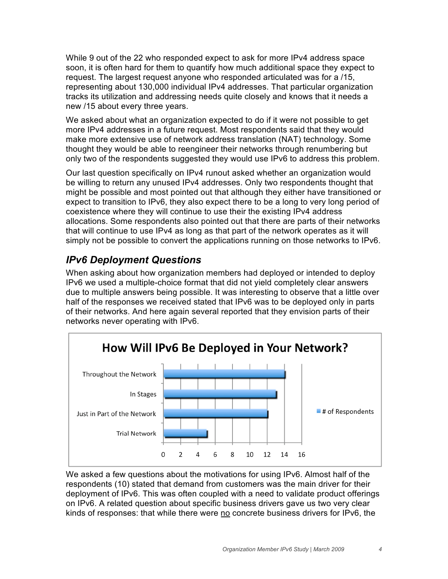While 9 out of the 22 who responded expect to ask for more IPv4 address space soon, it is often hard for them to quantify how much additional space they expect to request. The largest request anyone who responded articulated was for a /15, representing about 130,000 individual IPv4 addresses. That particular organization tracks its utilization and addressing needs quite closely and knows that it needs a new /15 about every three years.

We asked about what an organization expected to do if it were not possible to get more IPv4 addresses in a future request. Most respondents said that they would make more extensive use of network address translation (NAT) technology. Some thought they would be able to reengineer their networks through renumbering but only two of the respondents suggested they would use IPv6 to address this problem.

Our last question specifically on IPv4 runout asked whether an organization would be willing to return any unused IPv4 addresses. Only two respondents thought that might be possible and most pointed out that although they either have transitioned or expect to transition to IPv6, they also expect there to be a long to very long period of coexistence where they will continue to use their the existing IPv4 address allocations. Some respondents also pointed out that there are parts of their networks that will continue to use IPv4 as long as that part of the network operates as it will simply not be possible to convert the applications running on those networks to IPv6.

### *IPv6 Deployment Questions*

When asking about how organization members had deployed or intended to deploy IPv6 we used a multiple-choice format that did not yield completely clear answers due to multiple answers being possible. It was interesting to observe that a little over half of the responses we received stated that IPv6 was to be deployed only in parts of their networks. And here again several reported that they envision parts of their networks never operating with IPv6.



We asked a few questions about the motivations for using IPv6. Almost half of the respondents (10) stated that demand from customers was the main driver for their deployment of IPv6. This was often coupled with a need to validate product offerings on IPv6. A related question about specific business drivers gave us two very clear kinds of responses: that while there were no concrete business drivers for IPv6, the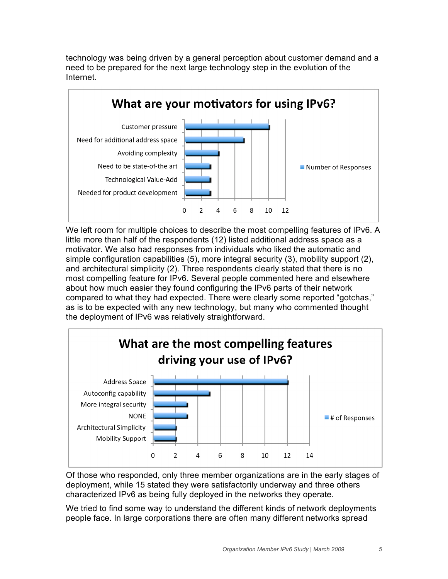technology was being driven by a general perception about customer demand and a need to be prepared for the next large technology step in the evolution of the Internet.



We left room for multiple choices to describe the most compelling features of IPv6. A little more than half of the respondents (12) listed additional address space as a motivator. We also had responses from individuals who liked the automatic and simple configuration capabilities (5), more integral security (3), mobility support (2), and architectural simplicity (2). Three respondents clearly stated that there is no most compelling feature for IPv6. Several people commented here and elsewhere about how much easier they found configuring the IPv6 parts of their network compared to what they had expected. There were clearly some reported "gotchas," as is to be expected with any new technology, but many who commented thought the deployment of IPv6 was relatively straightforward.



Of those who responded, only three member organizations are in the early stages of deployment, while 15 stated they were satisfactorily underway and three others characterized IPv6 as being fully deployed in the networks they operate.

We tried to find some way to understand the different kinds of network deployments people face. In large corporations there are often many different networks spread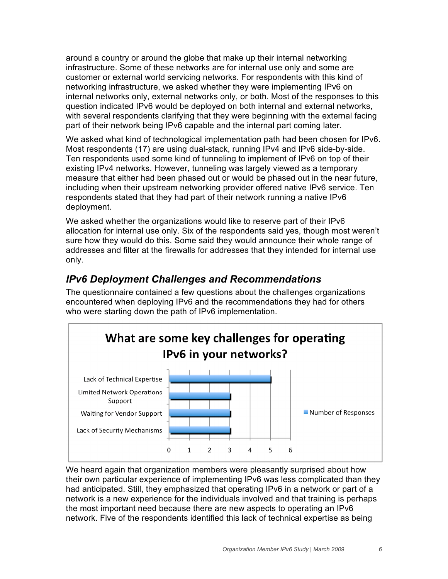around a country or around the globe that make up their internal networking infrastructure. Some of these networks are for internal use only and some are customer or external world servicing networks. For respondents with this kind of networking infrastructure, we asked whether they were implementing IPv6 on internal networks only, external networks only, or both. Most of the responses to this question indicated IPv6 would be deployed on both internal and external networks, with several respondents clarifying that they were beginning with the external facing part of their network being IPv6 capable and the internal part coming later.

We asked what kind of technological implementation path had been chosen for IPv6. Most respondents (17) are using dual-stack, running IPv4 and IPv6 side-by-side. Ten respondents used some kind of tunneling to implement of IPv6 on top of their existing IPv4 networks. However, tunneling was largely viewed as a temporary measure that either had been phased out or would be phased out in the near future, including when their upstream networking provider offered native IPv6 service. Ten respondents stated that they had part of their network running a native IPv6 deployment.

We asked whether the organizations would like to reserve part of their IPv6 allocation for internal use only. Six of the respondents said yes, though most weren't sure how they would do this. Some said they would announce their whole range of addresses and filter at the firewalls for addresses that they intended for internal use only.

### *IPv6 Deployment Challenges and Recommendations*

The questionnaire contained a few questions about the challenges organizations encountered when deploying IPv6 and the recommendations they had for others who were starting down the path of IPv6 implementation.



We heard again that organization members were pleasantly surprised about how their own particular experience of implementing IPv6 was less complicated than they had anticipated. Still, they emphasized that operating IPv6 in a network or part of a network is a new experience for the individuals involved and that training is perhaps the most important need because there are new aspects to operating an IPv6 network. Five of the respondents identified this lack of technical expertise as being